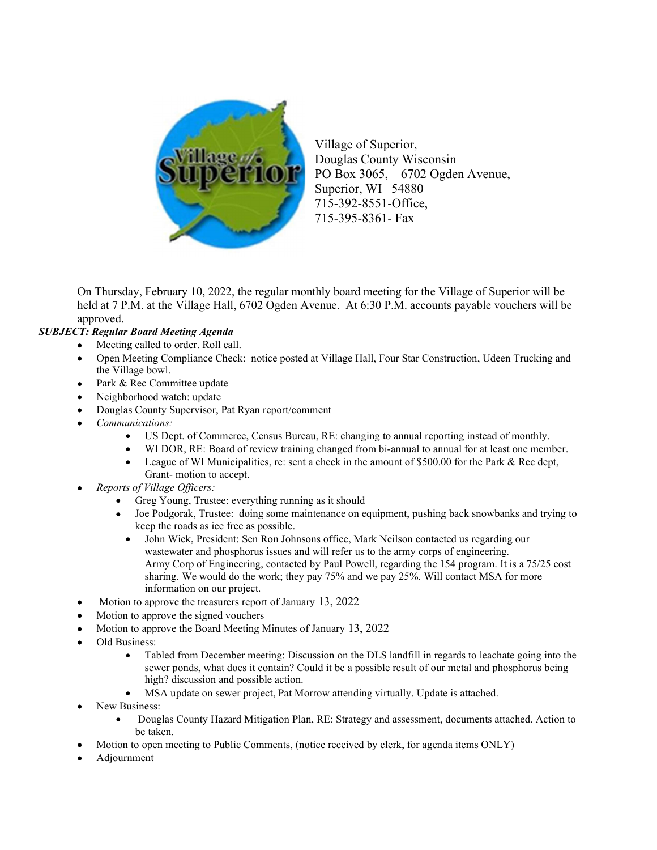

Village of Superior, Douglas County Wisconsin PO Box 3065, 6702 Ogden Avenue, Superior, WI 54880 715-392-8551-Office, 715-395-8361- Fax

On Thursday, February 10, 2022, the regular monthly board meeting for the Village of Superior will be held at 7 P.M. at the Village Hall, 6702 Ogden Avenue. At 6:30 P.M. accounts payable vouchers will be approved.

#### SUBJECT: Regular Board Meeting Agenda

- Meeting called to order. Roll call.
- Open Meeting Compliance Check: notice posted at Village Hall, Four Star Construction, Udeen Trucking and the Village bowl.
- Park & Rec Committee update
- Neighborhood watch: update
- Douglas County Supervisor, Pat Ryan report/comment
- Communications:
	- US Dept. of Commerce, Census Bureau, RE: changing to annual reporting instead of monthly.
	- WI DOR, RE: Board of review training changed from bi-annual to annual for at least one member.
	- League of WI Municipalities, re: sent a check in the amount of  $$500.00$  for the Park & Rec dept, Grant- motion to accept.
- Reports of Village Officers:
	- Greg Young, Trustee: everything running as it should
	- Joe Podgorak, Trustee: doing some maintenance on equipment, pushing back snowbanks and trying to keep the roads as ice free as possible.
		- John Wick, President: Sen Ron Johnsons office, Mark Neilson contacted us regarding our wastewater and phosphorus issues and will refer us to the army corps of engineering. Army Corp of Engineering, contacted by Paul Powell, regarding the 154 program. It is a 75/25 cost sharing. We would do the work; they pay 75% and we pay 25%. Will contact MSA for more information on our project.
- Motion to approve the treasurers report of January 13, 2022
- Motion to approve the signed vouchers
- Motion to approve the Board Meeting Minutes of January 13, 2022
- Old Business:
	- Tabled from December meeting: Discussion on the DLS landfill in regards to leachate going into the sewer ponds, what does it contain? Could it be a possible result of our metal and phosphorus being high? discussion and possible action.
	- MSA update on sewer project, Pat Morrow attending virtually. Update is attached.
- New Business:
	- Douglas County Hazard Mitigation Plan, RE: Strategy and assessment, documents attached. Action to be taken.
- Motion to open meeting to Public Comments, (notice received by clerk, for agenda items ONLY)
- Adjournment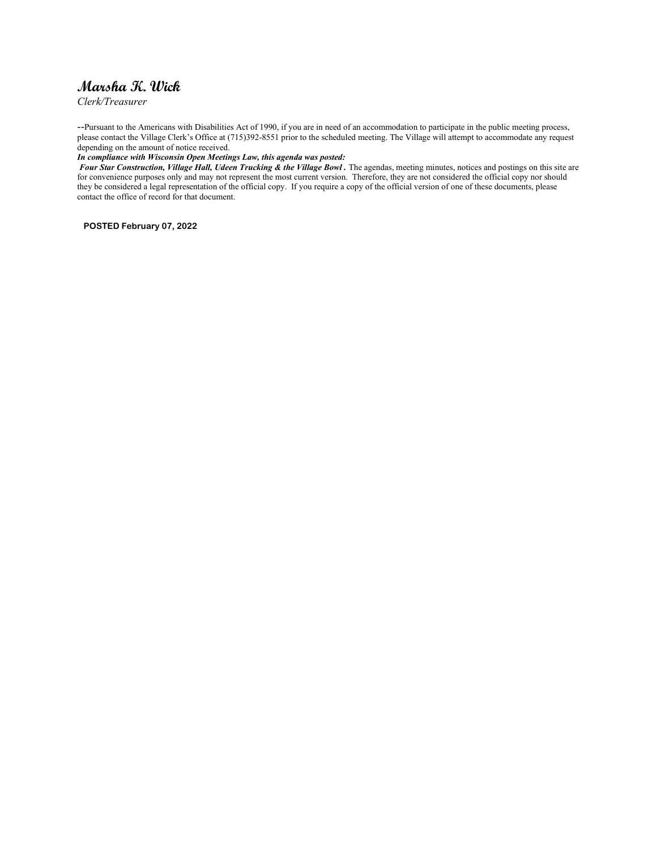# Marsha K. Wick

Clerk/Treasurer

--Pursuant to the Americans with Disabilities Act of 1990, if you are in need of an accommodation to participate in the public meeting process, please contact the Village Clerk's Office at (715)392-8551 prior to the scheduled meeting. The Village will attempt to accommodate any request depending on the amount of notice received.

#### In compliance with Wisconsin Open Meetings Law, this agenda was posted:

Four Star Construction, Village Hall, Udeen Trucking & the Village Bowl. The agendas, meeting minutes, notices and postings on this site are for convenience purposes only and may not represent the most current version. Therefore, they are not considered the official copy nor should they be considered a legal representation of the official copy. If you require a copy of the official version of one of these documents, please contact the office of record for that document.

POSTED February 07, 2022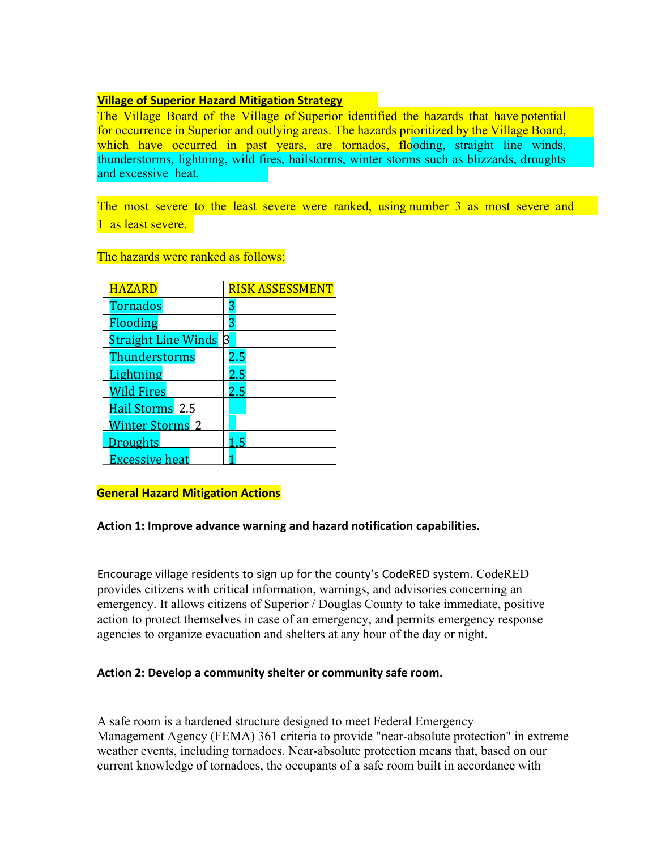### **Village of Superior Hazard Mitigation Strategy**

The Village Board of the Village of Superior identified the hazards that have potential for occurrence in Superior and outlying areas. The hazards prioritized by the Village Board, which have occurred in past years, are tornados, flooding, straight line winds, thunderstorms, lightning, wild fires, hailstorms, winter storms such as blizzards, droughts and excessive heat.

The most severe to the least severe were ranked, using number 3 as most severe and 1 as least severe.

### The hazards were ranked as follows:

| <b>HAZARD</b>              | <b>RISK ASSESSMENT</b> |
|----------------------------|------------------------|
| <b>Tornados</b>            | 3                      |
| Flooding                   | 3                      |
| <b>Straight Line Winds</b> | 3                      |
| Thunderstorms              | 2.5                    |
| Lightning                  | 2.5                    |
| <b>Wild Fires</b>          | 2.5                    |
| Hail Storms 2.5            |                        |
| <b>Winter Storms 2</b>     |                        |
| Droughts                   |                        |
| <b>Excessive heat</b>      |                        |

### General Hazard Mitigation Actions

### Action 1: Improve advance warning and hazard notification capabilities.

Encourage village residents to sign up for the county's CodeRED system. CodeRED provides citizens with critical information, warnings, and advisories concerning an emergency. It allows citizens of Superior / Douglas County to take immediate, positive action to protect themselves in case of an emergency, and permits emergency response agencies to organize evacuation and shelters at any hour of the day or night.

### Action 2: Develop a community shelter or community safe room.

A safe room is a hardened structure designed to meet Federal Emergency Management Agency (FEMA) 361 criteria to provide "near-absolute protection" in extreme weather events, including tornadoes. Near-absolute protection means that, based on our current knowledge of tornadoes, the occupants of a safe room built in accordance with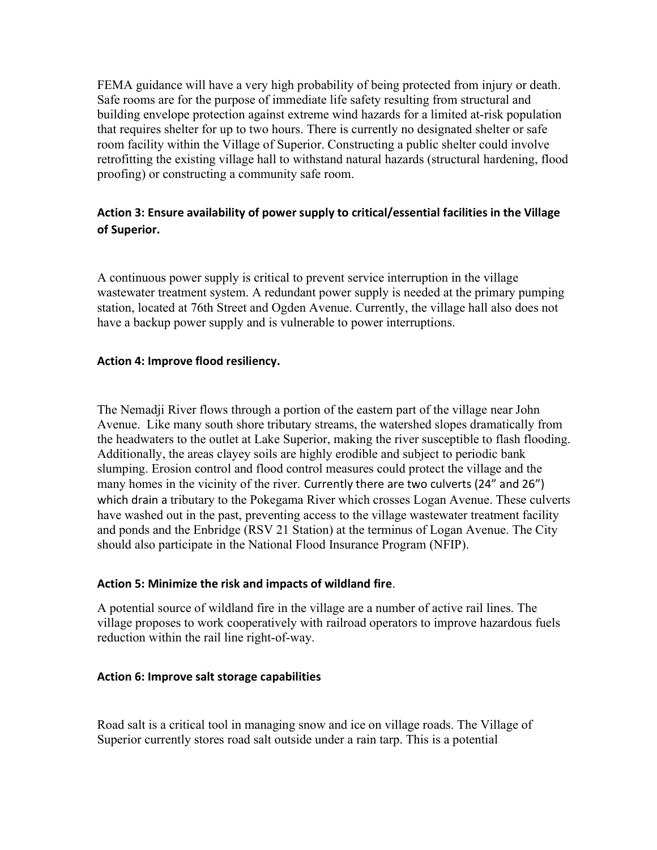FEMA guidance will have a very high probability of being protected from injury or death. Safe rooms are for the purpose of immediate life safety resulting from structural and building envelope protection against extreme wind hazards for a limited at-risk population that requires shelter for up to two hours. There is currently no designated shelter or safe room facility within the Village of Superior. Constructing a public shelter could involve retrofitting the existing village hall to withstand natural hazards (structural hardening, flood proofing) or constructing a community safe room.

## Action 3: Ensure availability of power supply to critical/essential facilities in the Village of Superior.

A continuous power supply is critical to prevent service interruption in the village wastewater treatment system. A redundant power supply is needed at the primary pumping station, located at 76th Street and Ogden Avenue. Currently, the village hall also does not have a backup power supply and is vulnerable to power interruptions.

### Action 4: Improve flood resiliency.

The Nemadji River flows through a portion of the eastern part of the village near John Avenue. Like many south shore tributary streams, the watershed slopes dramatically from the headwaters to the outlet at Lake Superior, making the river susceptible to flash flooding. Additionally, the areas clayey soils are highly erodible and subject to periodic bank slumping. Erosion control and flood control measures could protect the village and the many homes in the vicinity of the river. Currently there are two culverts (24" and 26") which drain a tributary to the Pokegama River which crosses Logan Avenue. These culverts have washed out in the past, preventing access to the village wastewater treatment facility and ponds and the Enbridge (RSV 21 Station) at the terminus of Logan Avenue. The City should also participate in the National Flood Insurance Program (NFIP).

### Action 5: Minimize the risk and impacts of wildland fire.

A potential source of wildland fire in the village are a number of active rail lines. The village proposes to work cooperatively with railroad operators to improve hazardous fuels reduction within the rail line right-of-way.

#### Action 6: Improve salt storage capabilities

Road salt is a critical tool in managing snow and ice on village roads. The Village of Superior currently stores road salt outside under a rain tarp. This is a potential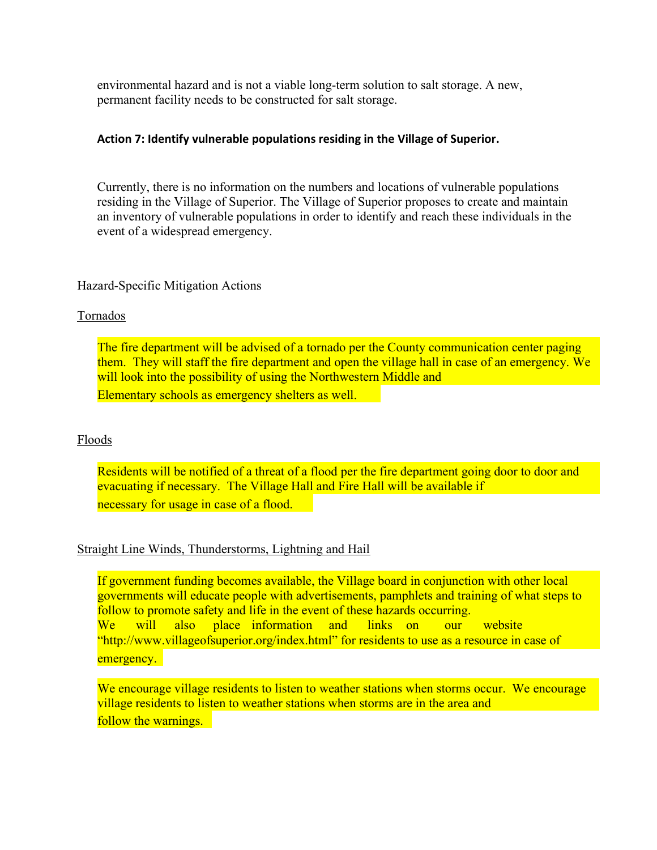environmental hazard and is not a viable long-term solution to salt storage. A new, permanent facility needs to be constructed for salt storage.

### Action 7: Identify vulnerable populations residing in the Village of Superior.

Currently, there is no information on the numbers and locations of vulnerable populations residing in the Village of Superior. The Village of Superior proposes to create and maintain an inventory of vulnerable populations in order to identify and reach these individuals in the event of a widespread emergency.

### Hazard-Specific Mitigation Actions

### Tornados

The fire department will be advised of a tornado per the County communication center paging them. They will staff the fire department and open the village hall in case of an emergency. We will look into the possibility of using the Northwestern Middle and Elementary schools as emergency shelters as well.

### Floods

Residents will be notified of a threat of a flood per the fire department going door to door and evacuating if necessary. The Village Hall and Fire Hall will be available if necessary for usage in case of a flood.

### Straight Line Winds, Thunderstorms, Lightning and Hail

If government funding becomes available, the Village board in conjunction with other local governments will educate people with advertisements, pamphlets and training of what steps to follow to promote safety and life in the event of these hazards occurring. We will also place information and links on our website "http://www.villageofsuperior.org/index.html" for residents to use as a resource in case of emergency.

We encourage village residents to listen to weather stations when storms occur. We encourage village residents to listen to weather stations when storms are in the area and follow the warnings.